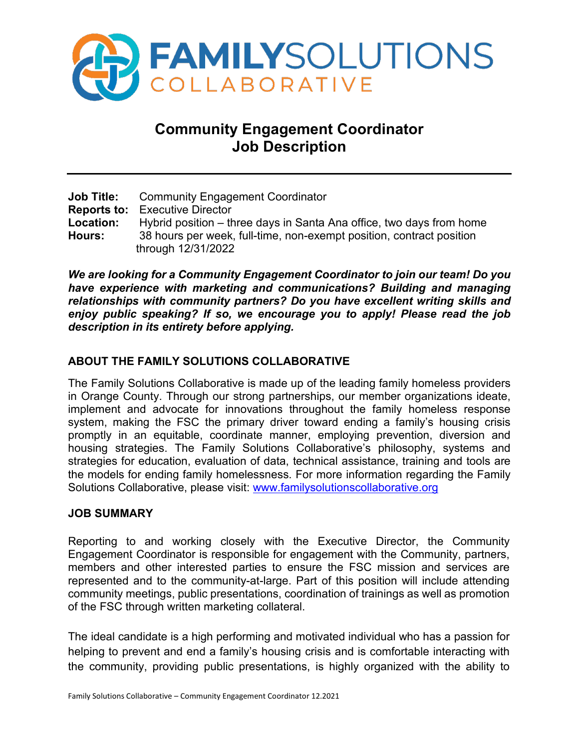

# **Community Engagement Coordinator Job Description**

|           | <b>Job Title:</b> Community Engagement Coordinator                   |
|-----------|----------------------------------------------------------------------|
|           | <b>Reports to:</b> Executive Director                                |
| Location: | Hybrid position – three days in Santa Ana office, two days from home |
| Hours:    | 38 hours per week, full-time, non-exempt position, contract position |
|           | through 12/31/2022                                                   |

*We are looking for a Community Engagement Coordinator to join our team! Do you have experience with marketing and communications? Building and managing relationships with community partners? Do you have excellent writing skills and enjoy public speaking? If so, we encourage you to apply! Please read the job description in its entirety before applying.*

# **ABOUT THE FAMILY SOLUTIONS COLLABORATIVE**

The Family Solutions Collaborative is made up of the leading family homeless providers in Orange County. Through our strong partnerships, our member organizations ideate, implement and advocate for innovations throughout the family homeless response system, making the FSC the primary driver toward ending a family's housing crisis promptly in an equitable, coordinate manner, employing prevention, diversion and housing strategies. The Family Solutions Collaborative's philosophy, systems and strategies for education, evaluation of data, technical assistance, training and tools are the models for ending family homelessness. For more information regarding the Family Solutions Collaborative, please visit: [www.familysolutionscollaborative.org](http://www.familysolutionscollaborative.org/)

## **JOB SUMMARY**

Reporting to and working closely with the Executive Director, the Community Engagement Coordinator is responsible for engagement with the Community, partners, members and other interested parties to ensure the FSC mission and services are represented and to the community-at-large. Part of this position will include attending community meetings, public presentations, coordination of trainings as well as promotion of the FSC through written marketing collateral.

The ideal candidate is a high performing and motivated individual who has a passion for helping to prevent and end a family's housing crisis and is comfortable interacting with the community, providing public presentations, is highly organized with the ability to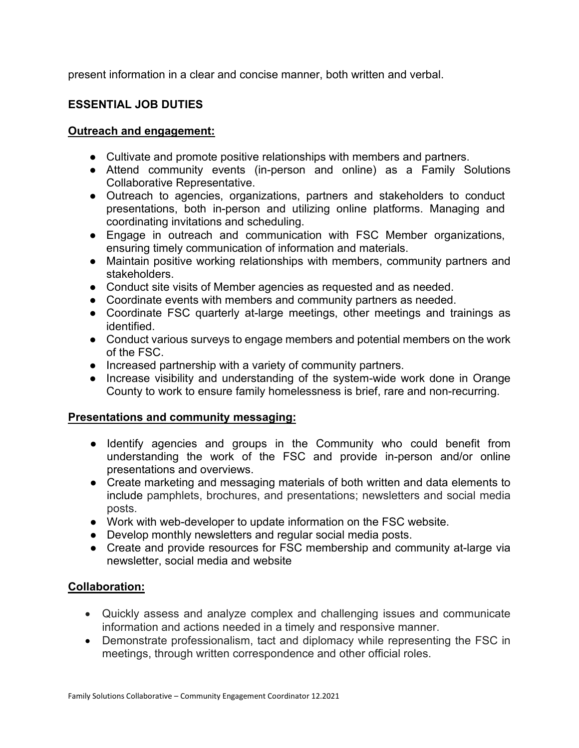present information in a clear and concise manner, both written and verbal.

## **ESSENTIAL JOB DUTIES**

#### **Outreach and engagement:**

- Cultivate and promote positive relationships with members and partners.
- Attend community events (in-person and online) as a Family Solutions Collaborative Representative.
- Outreach to agencies, organizations, partners and stakeholders to conduct presentations, both in-person and utilizing online platforms. Managing and coordinating invitations and scheduling.
- Engage in outreach and communication with FSC Member organizations, ensuring timely communication of information and materials.
- Maintain positive working relationships with members, community partners and stakeholders.
- Conduct site visits of Member agencies as requested and as needed.
- Coordinate events with members and community partners as needed.
- Coordinate FSC quarterly at-large meetings, other meetings and trainings as identified.
- Conduct various surveys to engage members and potential members on the work of the FSC.
- Increased partnership with a variety of community partners.
- Increase visibility and understanding of the system-wide work done in Orange County to work to ensure family homelessness is brief, rare and non-recurring.

## **Presentations and community messaging:**

- Identify agencies and groups in the Community who could benefit from understanding the work of the FSC and provide in-person and/or online presentations and overviews.
- Create marketing and messaging materials of both written and data elements to include pamphlets, brochures, and presentations; newsletters and social media posts.
- Work with web-developer to update information on the FSC website.
- Develop monthly newsletters and regular social media posts.
- Create and provide resources for FSC membership and community at-large via newsletter, social media and website

## **Collaboration:**

- Quickly assess and analyze complex and challenging issues and communicate information and actions needed in a timely and responsive manner.
- Demonstrate professionalism, tact and diplomacy while representing the FSC in meetings, through written correspondence and other official roles.